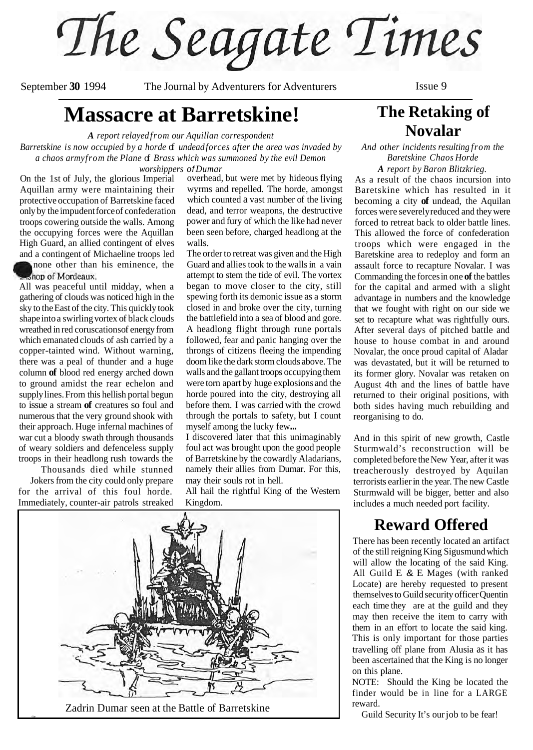The Seagate Times

September 30 1994 The Journal by Adventurers for Adventurers Issue 9

# **Massacre at Barretskine!**

*A report relayed from our Aquillan correspondent* 

*Barretskine is now occupied by a horde of undead forces after the area was invaded by* a chaos army from the Plane **of** *Brass which was summoned by the evil Demon worshippers of Dumar* 

On the 1st of July, the glorious Imperial Aquillan army were maintaining their protective occupation of Barretskine faced only by the impudent force of confederation troops cowering outside the walls. Among the occupying forces were the Aquillan High Guard, an allied contingent of elves and a contingent of Michaeline troops led

none other than his eminence, the shop of Mordeaux.

All was peaceful until midday, when a gathering of clouds was noticed high in the sky to the East of the city. This quickly took shape into a swirling vortex of black clouds wreathed in red coruscations of energy from which emanated clouds of ash carried by a copper-tainted wind. Without warning, there was a peal of thunder and a huge column **of** blood red energy arched down to ground amidst the rear echelon and supply lines. From this hellish portal begun to issue a stream **of** creatures so foul and numerous that the very ground shook with their approach. Huge infernal machines of war cut a bloody swath through thousands of weary soldiers and defenceless supply troops in their headlong rush towards the

Thousands died while stunned Jokers from the city could only prepare for the arrival of this foul horde. Immediately, counter-air patrols streaked overhead, but were met by hideous flying wyrms and repelled. The horde, amongst which counted a vast number of the living dead, and terror weapons, the destructive power and fury of which the like had never been seen before, charged headlong at the walls.

The order to retreat was given and the High Guard and allies took to the walls in a vain attempt to stem the tide of evil. The vortex began to move closer to the city, still spewing forth its demonic issue as a storm closed in and broke over the city, turning the battlefield into a sea of blood and gore. A headlong flight through rune portals followed, fear and panic hanging over the throngs of citizens fleeing the impending doom like the dark storm clouds above. The walls and the gallant troops occupying them were torn apart by huge explosions and the horde poured into the city, destroying all before them. I was carried with the crowd through the portals to safety, but I count myself among the lucky few...

I discovered later that this unimaginably foul act was brought upon the good people of Barretskine by the cowardly Aladarians, namely their allies from Dumar. For this, may their souls rot in hell.

All hail the rightful King of the Western Kingdom.



Zadrin Dumar seen at the Battle of Barretskine

# **The Retaking of Novalar**

*And other incidents resulting from the Baretskine Chaos Horde* 

*A report by Baron Blitzkrieg.*  As a result of the chaos incursion into Baretskine which has resulted in it becoming a city **of** undead, the Aquilan forces were severely reduced and they were forced to retreat back to older battle lines. This allowed the force of confederation troops which were engaged in the Baretskine area to redeploy and form an assault force to recapture Novalar. I was Commanding the forces in one **of** the battles for the capital and armed with a slight advantage in numbers and the knowledge that we fought with right on our side we set to recapture what was rightfully ours. After several days of pitched battle and house to house combat in and around Novalar, the once proud capital of Aladar was devastated, but it will be returned to its former glory. Novalar was retaken on August 4th and the lines of battle have returned to their original positions, with both sides having much rebuilding and reorganising to do.

And in this spirit of new growth, Castle Sturmwald's reconstruction will be completed before the New Year, after it was treacherously destroyed by Aquilan terrorists earlier in the year. The new Castle Sturmwald will be bigger, better and also includes a much needed port facility.

## **Reward Offered**

There has been recently located an artifact of the still reigning King Sigusmund which will allow the locating of the said King. All Guild E & E Mages (with ranked Locate) are hereby requested to present themselves to Guild security officer Quentin each time they are at the guild and they may then receive the item to carry with them in an effort to locate the said king. This is only important for those parties travelling off plane from Alusia as it has been ascertained that the King is no longer on this plane.

NOTE: Should the King be located the finder would be in line for a LARGE reward.

Guild Security It's our job to be fear!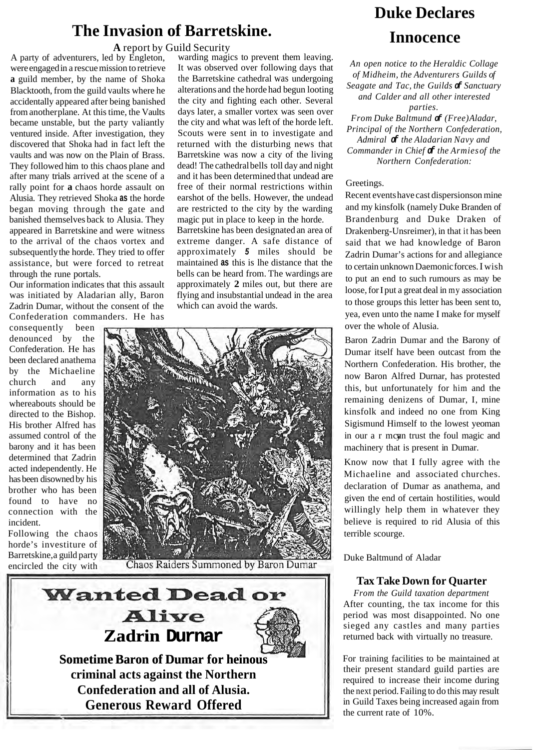# **The Invasion of Barretskine.**

**A** report by Guild Security

A party of adventurers, led by Engleton, were engaged in a rescue mission to retrieve **a** guild member, by the name of Shoka Blacktooth, from the guild vaults where he accidentally appeared after being banished from another plane. At this time, the Vaults became unstable, but the party valiantly ventured inside. After investigation, they discovered that Shoka had in fact left the vaults and was now on the Plain of Brass. They followed him to this chaos plane and after many trials arrived at the scene of a rally point for **a** chaos horde assault on Alusia. They retrieved Shoka **as** the horde began moving through the gate and banished themselves back to Alusia. They appeared in Barretskine and were witness to the arrival of the chaos vortex and subsequently the horde. They tried to offer assistance, but were forced to retreat through the rune portals.

Our information indicates that this assault was initiated by Aladarian ally, Baron Zadrin Dumar, without the consent of the Confederation commanders. He has

consequently been denounced by the Confederation. He has been declared anathema by the Michaeline church and any information as to his whereabouts should be directed to the Bishop. His brother Alfred has assumed control of the barony and it has been determined that Zadrin acted independently. He has been disowned by his brother who has been found to have no connection with the incident.

Following the chaos horde's investiture of Barretskine, a guild party encircled the city with

warding magics to prevent them leaving. It was observed over following days that the Barretskine cathedral was undergoing alterations and the horde had begun looting the city and fighting each other. Several days later, a smaller vortex was seen over the city and what was left of the horde left. Scouts were sent in to investigate and returned with the disturbing news that Barretskine was now a city of the living dead! The cathedral bells toll day and night and it has been determined that undead are free of their normal restrictions within earshot of the bells. However, the undead

magic put in place to keep in the horde. Barretskine has been designated an area of extreme danger. A safe distance of approximately *5* miles should be maintained **as** this is lhe distance that the bells can be heard from. The wardings are approximately **2** miles out, but there are flying and insubstantial undead in the area which can avoid the wards.

are restricted to the city by the warding



Chaos Raiders Summoned by Baron Dumar



# **Duke Declares Innocence**

*An open notice to the Heraldic Collage of Midheim, the Adventurers Guilds of Seagate and Tac, the Guilds of Sanctuary and Calder and all other interested parties. From Duke Baltmund of (Free) Aladar,* 

*Principal of the Northern Confederation, Admiral of the Aladarian Navy and Commander in Chief of the Armies of the Northern Confederation:* 

### Greetings.

Recent events have cast dispersions on mine and my kinsfolk (namely Duke Branden of Brandenburg and Duke Draken of Drakenberg-Unsreimer), in that it has been said that we had knowledge of Baron Zadrin Dumar's actions for and allegiance to certain unknown Daemonic forces. I wish to put an end to such rumours as may be loose, for I put a great deal in my association to those groups this letter has been sent to, yea, even unto the name I make for myself over the whole of Alusia.

Baron Zadrin Dumar and the Barony of Dumar itself have been outcast from the Northern Confederation. His brother, the now Baron Alfred Durnar, has protested this, but unfortunately for him and the remaining denizens of Dumar, I, mine kinsfolk and indeed no one from King Sigismund Himself to the lowest yeoman in our a r mcan trust the foul magic and machinery that is present in Dumar.

Know now that I fully agree with the Michaeline and associated churches. declaration of Dumar as anathema, and given the end of certain hostilities, would willingly help them in whatever they believe is required to rid Alusia of this terrible scourge.

Duke Baltmund of Aladar

### **Tax Take Down for Quarter**

*From the Guild taxation department*  After counting, the tax income for this period was most disappointed. No one sieged any castles and many parties returned back with virtually no treasure.

For training facilities to be maintained at their present standard guild parties are required to increase their income during the next period. Failing to do this may result in Guild Taxes being increased again from the current rate of 10%.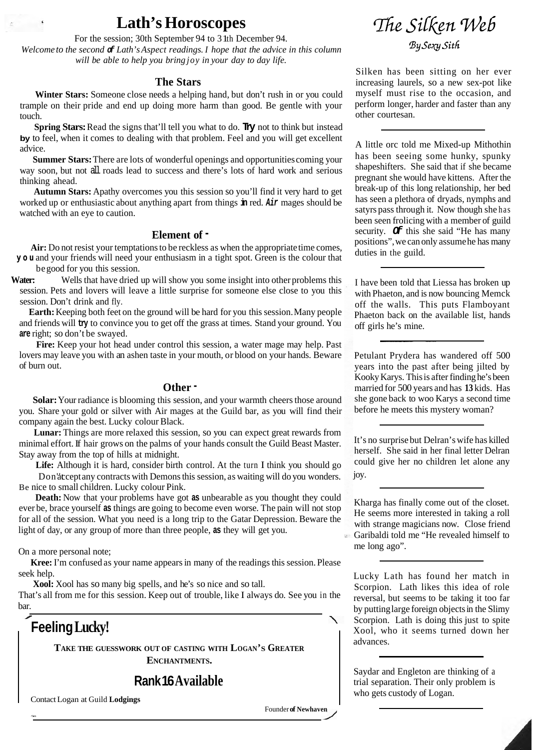# **Lath's Horoscopes**

For the session; 30th September 94 to 3 lth December 94.

*Welcome to the second of Lath's Aspect readings. I hope that the advice in this column will be able to help you bring joy in your day to day life.* 

### **The Stars**

**Winter Stars:** Someone close needs a helping hand, but don't rush in or you could trample on their pride and end up doing more harm than good. Be gentle with your touch.

**Spring Stars:** Read the signs that'll tell you what to do. **Try** not to think but instead **by** to feel, when it comes to dealing with that problem. Feel and you will get excellent advice.

**Summer Stars:** There are lots of wonderful openings and opportunities coming your way soon, but not all roads lead to success and there's lots of hard work and serious thinking ahead.

**Autumn Stars:** Apathy overcomes you this session so you'll find it very hard to get worked up or enthusiastic about anything apart from things **in** red. *Air* mages should be watched with an eye to caution.

### **Element of** -

Air: Do not resist your temptations to be reckless as when the appropriate time comes, **you** and your friends will need your enthusiasm in a tight spot. Green is the colour that begood for you this session.

**Water:** Wells that have dried up will show you some insight into other problems this session. Pets and lovers will leave a little surprise for someone else close to you this session. Don't drink and fly.

**Earth:** Keeping both feet on the ground will be hard for you this session. Many people and friends will **try** to convince you to get off the grass at times. Stand your ground. You **are** right; so don't be swayed.

**Fire:** Keep your hot head under control this session, a water mage may help. Past lovers may leave you with an ashen taste in your mouth, or blood on your hands. Beware of burn out.

### **Other** -

**Solar:** Your radiance is blooming this session, and your warmth cheers those around you. Share your gold or silver with Air mages at the Guild bar, as you will find their company again the best. Lucky colour Black.

**Lunar:** Things are more relaxed this session, so you can expect great rewards from minimal effort. If hair grows on the palms of your hands consult the Guild Beast Master. Stay away from the top of hills at midnight.

Life: Although it is hard, consider birth control. At the turn I think you should go Don'accept any contracts with Demons this session, as waiting will do you wonders. Be nice to small children. Lucky colour Pink.

**Death:** Now that your problems have got **as** unbearable as you thought they could ever be, brace yourself **as** things are going to become even worse. The pain will not stop for all of the session. What you need is a long trip to the Gatar Depression. Beware the light of day, or any group of more than three people, **as** they will get you.

On a more personal note;

seek help. **Kree:** I'm confused as your name appears in many of the readings this session. Please

**Xool:** Xool has so many big spells, and he's so nice and so tall.

That's all from me for this session. Keep out of trouble, like I always do. See you in the bar.

**Feeling Lucky!** 

**TAKE THE GUESSWORK OUT OF CASTING WITH LOGAN'S GREATER ENCHANTMENTS.** 

**Rank 16 Available** 

Contact Logan at Guild **Lodgings** 

Founder **of Newhaven** 



Silken has been sitting on her ever increasing laurels, so a new sex-pot like myself must rise to the occasion, and perform longer, harder and faster than any other courtesan.

A little orc told me Mixed-up Mithothin has been seeing some hunky, spunky shapeshifters. She said that if she became pregnant she would have kittens. After the break-up of this long relationship, her bed has seen a plethora of dryads, nymphs and satyrs pass through it. Now though she has been seen frolicing with a member of guild security. *Of* this she said "He has many positions", we can only assume he has many duties in the guild.

I have been told that Liessa has broken up with Phaeton, and is now bouncing Memck off the walls. This puts Flamboyant Phaeton back on the available list, hands off girls he's mine.

Petulant Prydera has wandered off 500 years into the past after being jilted by Kooky Karys. This is after finding he's been married for 500 years and has **13** kids. Has she gone back to woo Karys a second time before he meets this mystery woman?

It's no surprise but Delran's wife has killed herself. She said in her final letter Delran could give her no children let alone any joy.

Kharga has finally come out of the closet. He seems more interested in taking a roll with strange magicians now. Close friend Garibaldi told me "He revealed himself to me long ago".

Lucky Lath has found her match in Scorpion. Lath likes this idea of role reversal, but seems to be taking it too far by putting large foreign objects in the Slimy Scorpion. Lath is doing this just to spite Xool, who it seems turned down her advances.

Saydar and Engleton are thinking of a trial separation. Their only problem is who gets custody of Logan.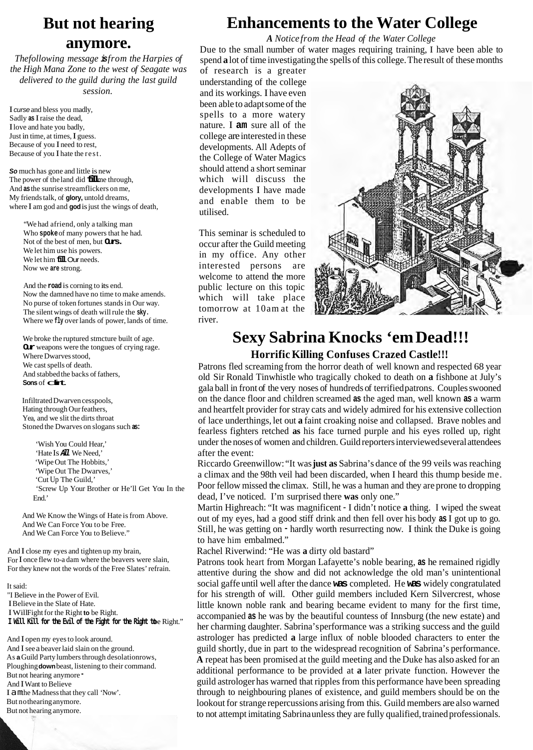# **But not hearing**

### **anymore.**

*The following message is from the Harpies of the High Mana Zone to the west of Seagate was delivered to the guild during the last guild session.* 

I *curse* and bless you madly, Sadly **as** I raise the dead, I love and hate you badly, Just in time, at times, I guess. Because of you I need to rest, Because of you I hate the rest.

*So* much has gone and little is new The power of the land did **fill**me through, And **as** the sunrise streamflickers on me, My friends talk, of **glory,** untold dreams, where I am god and **god** is just the wings of death,

"We had afriend, only a talking man Who **spoke** of many powers that he had. Not of the best of men, but **Ours.**  We let him use his powers. We let him **fill** Our needs. Now we **are** strong.

And the **road** is corning to its end. Now the damned have no time to make amends. No purse of token fortunes stands in Our way. The silent wings of death will rule the **sky.**  Where we *fly* over lands of power, lands of time.

We broke the ruptured stmcture built of age. **Our** weapons were the tongues of crying rage. Where Dwarves stood, We cast spells of death. And stabbed the backs of fathers,<br>**Sons** of **clirt**.

Infiltrated Dwarven cesspools, Hating through Our feathers, Yea, and we slit the dirts throat Stoned the Dwarves on slogans such **as:** 

'Wish You Could Hear,' 'Hate Is *All* We Need,' 'Wipe Out The Hobbits,' 'Wipe Out The Dwarves,' 'Cut Up The Guild,' 'Screw Up Your Brother or He'll Get You In the End.'

And We Know the Wings of Hate is from Above. And We Can Force You to be Free. And We Can Force You to Believe."

And I close my eyes and tighten up my brain, For I once flew to-a dam where the beavers were slain, For they knew not the words of the Free Slates' refrain.

It said: "I Believe in the Power of Evil. I Believe in the Slate of Hate. I WillFight for the Right **to** be Right. **I Will Kill for the Evil of the Fight for the Right to** be Right."

And I open my eyes to look around. And I see a beaver laid slain on the ground. As **a** Guild Party lumbers through desolationrows, Ploughing **down** beast, listening to their command. But not hearing anymore And I Want to Believe I amthe Madness that they call 'Now'. But nothearing anymore. But not hearing anymore.

### **Enhancements to the Water College**

*A Notice from the Head of the Water College* 

Due to the small number of water mages requiring training, I have been able to spend **a** lot of time investigating the spells of this college. The result of these months

of research is a greater understanding of the college and its workings. I have even been able to adapt some of the spells to a more watery nature. I **am** sure all of the college are interested in these developments. All Adepts of the College of Water Magics should attend a short seminar which will discuss the developments I have made and enable them to be utilised.

This seminar is scheduled to occur after the Guild meeting in my office. Any other interested persons are welcome to attend the more public lecture on this topic which will take place tomorrow at 10am at the river.



### **Sexy Sabrina Knocks 'em Dead!!! Horrific Killing Confuses Crazed Castle!!!**

Patrons fled screaming from the horror death of well known and respected 68 year old Sir Ronald Tinwhistle who tragically choked to death on **a** fishbone at July's gala ball in front of the very noses of hundreds of terrified patrons. Couples swooned on the dance floor and children screamed **as** the aged man, well known **as** a warm and heartfelt provider for stray cats and widely admired for his extensive collection of lace underthings, let out **a** faint croaking noise and collapsed. Brave nobles and fearless fighters retched **as** his face turned purple and his eyes rolled up, right under the noses of women and children. Guild reporters interviewed several attendees after the event:

Riccardo Greenwillow: "It was **just as** Sabrina's dance of the 99 veils was reaching a climax and the 98th veil had been discarded, when I heard this thump beside me. Poor fellow missed the climax. Still, he was a human and they are prone to dropping dead, I've noticed. I'm surprised there **was** only one."

Martin Highreach: "It was magnificent - I didn't notice **a** thing. I wiped the sweat out of my eyes, had a good stiff drink and then fell over his body **as** I got up to go. Still, he was getting on - hardly worth resurrecting now. I think the Duke is going to have him embalmed."

Rachel Riverwind: "He was **a** dirty old bastard"

Patrons took heart from Morgan Lafayette's noble bearing, **as** he remained rigidly attentive during the show and did not acknowledge the old man's unintentional social gaffe until well after the dance **was** completed. He **was** widely congratulated for his strength of will. Other guild members included Kern Silvercrest, whose little known noble rank and bearing became evident to many for the first time, accompanied **as** he was by the beautiful countess of Innsburg (the new estate) and her charming daughter. Sabrina's performance was a striking success and the guild astrologer has predicted **a** large influx of noble blooded characters to enter the guild shortly, due in part to the widespread recognition of Sabrina's performance. **A** repeat has been promised at the guild meeting and the Duke has also asked for an additional performance to be provided at **a** later private function. However the guild astrologer has warned that ripples from this performance have been spreading through to neighbouring planes of existence, and guild members should be on the lookout for strange repercussions arising from this. Guild members are also warned to not attempt imitating Sabrina unless they are fully qualified, trained professionals.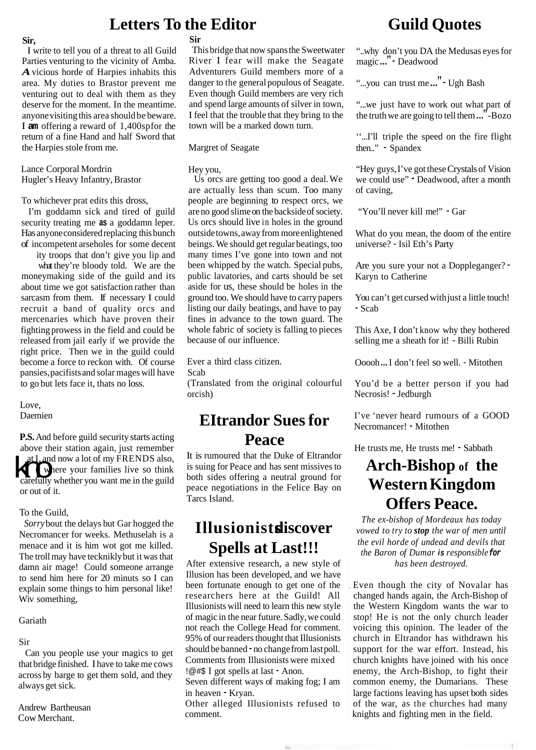### **Sir,**

I write to tell you of a threat to all Guild Parties venturing to the vicinity of Amba. *A*vicious horde of Harpies inhabits this area. My duties to Brastor prevent me venturing out to deal with them as they deserve for the moment. In the meantime. anyone visiting this area should be beware. I **am** offering a reward of 1,400sp for the return of a fine Hand and half Sword that the Harpies stole from me.

Lance Corporal Mordrin Hugler's Heavy Infantry, Brastor

To whichever prat edits this dross,

I'm goddamn sick and tired of guild security treating me **as** a goddamn leper. Has anyone considered replacing this bunch of incompetent arseholes for some decent

ity troops that don't give you lip and what they're bloody told. We are the moneymaking side of the guild and its about time we got satisfaction rather than sarcasm from them. If necessary I could recruit a band of quality orcs and mercenaries which have proven their fighting prowess in the field and could be released from jail early if we provide the right price. Then we in the guild could become a force to reckon with. Of course pansies, pacifists and solar mages will have to go but lets face it, thats no loss.

#### Love, Daemien

**P.S.** And before guild security starts acting above their station again, just remember at I, and now a lot of my FRENDS also, **w** where your families live so think at L and now a lot of my FRENDS also,<br>there your families live so think<br>carefully whether you want me in the guild or out of it.

### To the Guild,

*Sorry* bout the delays but Gar hogged the Necromancer for weeks. Methuselah is a menace and it is him wot got me killed. The troll may have tecknikly but it was that damn air mage! Could someone arrange to send him here for 20 minuts so I can explain some things to him personal like! Wiv something,

#### Gariath

Sir

Can you people use your magics to get that bridge finished. I have to take me cows across by barge to get them sold, and they always get sick.

Andrew Bartheusan Cow Merchant.

### **Sir**

**Letters To the Editor** 

This bridge that now spans the Sweetwater River I fear will make the Seagate Adventurers Guild members more of a danger to the general populous of Seagate. Even though Guild members are very rich and spend large amounts of silver in town, I feel that the trouble that they bring to the town will be a marked down turn.

Margret of Seagate

### Hey you,

Us orcs are getting too good a deal. We are actually less than scum. Too many people are beginning to respect orcs, we are no good slime on the backside of society. Us orcs should live in holes in the ground outside towns, away from more enlightened beings. We should get regular beatings, too many times I've gone into town and not been whipped by the watch. Special pubs, public lavatories, and carts should be set aside for us, these should be holes in the ground too. We should have to carry papers listing our daily beatings, and have to pay fines in advance to the town guard. The whole fabric of society is falling to pieces because of our influence.

Ever a third class citizen.

Scab

(Translated from the original colourful orcish)

# He trusts me, He trusts me! - Sabbath **Peace**

It is rumoured that the Duke of Eltrandor is suing for Peace and has sent missives to **Arch-Bishop of the**  both sides offering a neutral ground for peace negotiations in the Felice Bay on **Western Kingdom**  Tarcs Island. **Offers Peace.** 

# **Spells at Last!!!**

After extensive research, a new style of Illusion has been developed, and we have been fortunate enough to get one of the researchers here at the Guild! All Illusionists will need to learn this new style of magic in the near future. Sadly, we could not reach the College Head for comment. 95% of our readers thought that Illusionists should be banned - no change from last poll. Comments from Illusionists were mixed !@#\$ I got spells at last - Anon.

Seven different ways of making fog; I am in heaven - Kryan.

Other alleged Illusionists refused to comment.

 $\psi_{L}$ 

# **Guild Quotes**

"..why don't you DA the Medusas eyes for magic ..." - Deadwood

"...you can trust me ..." - Ugh Bash

"...we just have to work out what part of the truth we are going to tell them ..." -Bozo

''...I'll triple the speed on the fire flight then.." - Spandex

"Hey guys, I've got these Crystals of Vision we could use" - Deadwood, after a month of caving,

"You'll never kill me!" - Gar

What do you mean, the doom of the entire universe? - Isil Eth's Party

Are you sure your not a Doppleganger? - Karyn to Catherine

You can't get cursed with just a little touch! - Scab

This Axe, I don't know why they bothered selling me a sheath for it! - Billi Rubin

Ooooh ... I don't feel so well. - Mitothen

You'd be a better person if you had Necrosis! - Jedburgh

**EItrandor Sues for** I've 'never heard rumours of a GOOD Necromancer! - Mitothen

*The ex-bishop of Mordeaux has today* **Illusionistsdiscover** *vowed to try to stop the war of men until the evil horde of undead and devils that the Baron of Dumar is responsible for has been destroyed.* 

> Even though the city of Novalar has changed hands again, the Arch-Bishop of the Western Kingdom wants the war to stop! He is not the only church leader voicing this opinion. The leader of the church in Eltrandor has withdrawn his support for the war effort. Instead, his church knights have joined with his once enemy, the Arch-Bishop, to fight their common enemy, the Dumarians. These large factions leaving has upset both sides of the war, as the churches had many knights and fighting men in the field.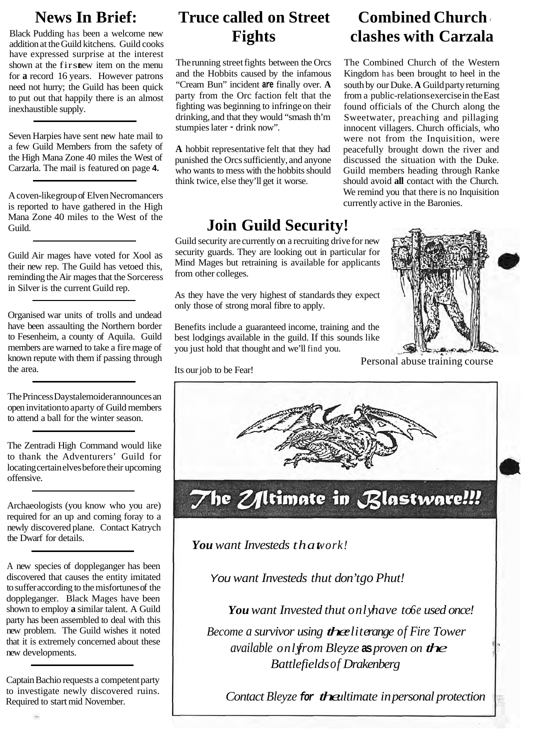Black Pudding has been a welcome new addition at the Guild kitchens. Guild cooks have expressed surprise at the interest shown at the first new item on the menu for **a** record 16 years. However patrons need not hurry; the Guild has been quick to put out that happily there is an almost inexhaustible supply.

Seven Harpies have sent new hate mail to a few Guild Members from the safety of the High Mana Zone 40 miles the West of Carzarla. The mail is featured on page **4.** 

A coven-like group of Elven Necromancers is reported to have gathered in the High Mana Zone 40 miles to the West of the Guild.

Guild Air mages have voted for Xool as their new rep. The Guild has vetoed this, reminding the Air mages that the Sorceress in Silver is the current Guild rep.

Organised war units of trolls and undead have been assaulting the Northern border to Fesenheim, a county of Aquila. Guild members are warned to take a fire mage of known repute with them if passing through the area.

The Princess Daystalemoider announces an open invitation to aparty of Guild members to attend a ball for the winter season.

The Zentradi High Command would like to thank the Adventurers' Guild for locating certain elves before their upcoming offensive.

Archaeologists (you know who you are) required for an up and coming foray to a newly discovered plane. Contact Katrych the Dwarf for details.

A new species of doppleganger has been discovered that causes the entity imitated to suffer according to the misfortunes of the doppleganger. Black Mages have been shown to employ **a** similar talent. A Guild party has been assembled to deal with this new problem. The Guild wishes it noted that it is extremely concerned about these new developments.

Captain Bachio requests a competent party to investigate newly discovered ruins. Required to start mid November.

# **News In Brief: Truce called on Street Combined Church**

The running street fights between the Orcs and the Hobbits caused by the infamous "Cream Bun" incident **are** finally over. **A**  party from the Orc faction felt that the fighting was beginning to infringe on their drinking, and that they would "smash th'm stumpies later - drink now".

**A** hobbit representative felt that they had punished the Orcs sufficiently, and anyone who wants to mess with the hobbits should think twice, else they'll get it worse.

# **Join Guild Security!**

Guild security are currently on a recruiting drive for new security guards. They are looking out in particular for Mind Mages but retraining is available for applicants from other colleges.

As they have the very highest of standards they expect only those of strong moral fibre to apply.

Benefits include a guaranteed income, training and the best lodgings available in the guild. If this sounds like you just hold that thought and we'll find you.

# **Fights clashes with Carzala**

The Combined Church of the Western Kingdom has been brought to heel in the south by our Duke. **A** Guild party returning from a public-relations exercise in the East found officials of the Church along the Sweetwater, preaching and pillaging innocent villagers. Church officials, who were not from the Inquisition, were peacefully brought down the river and discussed the situation with the Duke. Guild members heading through Ranke should avoid **all** contact with the Church. We remind you that there is no Inquisition currently active in the Baronies.



Personal abuse training course Its our job to be Fear!



*You want Investeds thatwork!*

*You want Investeds thut don't go Phut!* 

*You want Invested thut onlyhave to6e used once!* 

*Become a survivor using theeliterange of Fire Tower available onlyfrom Bleyze* **as** *proven on the Battlefieldsof Drakenberg* 

*Contact Bleyze for theultimate in personal protection*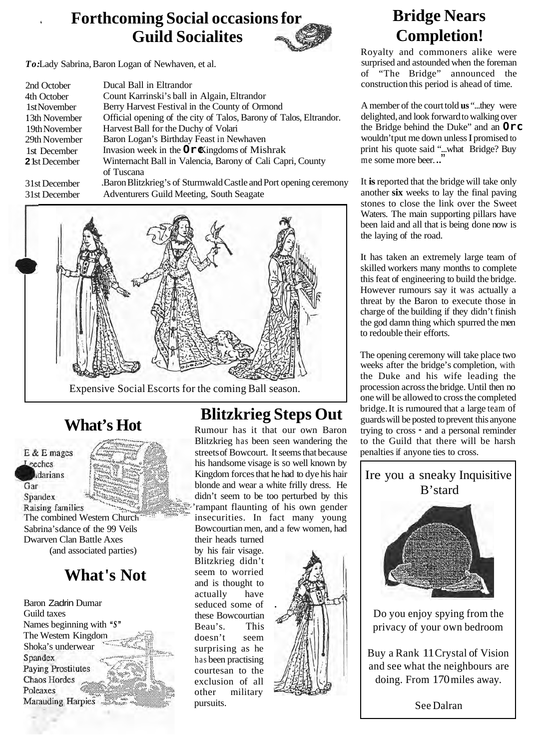# **Forthcoming Social occasions for Guild Socialites**



*To:*Lady Sabrina, Baron Logan of Newhaven, et al.

| 2nd October           | Ducal Ball in Eltrandor                                            |  |
|-----------------------|--------------------------------------------------------------------|--|
| 4th October           | Count Karrinski's ball in Algain, Eltrandor                        |  |
| 1stNovember           | Berry Harvest Festival in the County of Ormond                     |  |
| 13th November         | Official opening of the city of Talos, Barony of Talos, Eltrandor. |  |
| 19th November         | Harvest Ball for the Duchy of Volari                               |  |
| 29th November         | Baron Logan's Birthday Feast in Newhaven                           |  |
| 1st December          | Invasion week in the $O\n  r \times$ ingdoms of Mishrak            |  |
| <b>2</b> 1st December | Winternacht Ball in Valencia, Barony of Cali Capri, County         |  |
|                       | of Tuscana                                                         |  |
| 31st December         | .Baron Blitzkrieg's of Sturmwald Castle and Port opening ceremony  |  |
| 31st December         | Adventurers Guild Meeting, South Seagate                           |  |



### Expensive Social Escorts for the coming Ball season.

E & E mages **Leeches** darians Gar Spandex **Raising families** Sabrina's dance of the 99 Veils Dwarven Clan Battle Axes (and associated parties)

# **What 's Not**

Baron Zadrin Dumar Guild taxes Names beginning with *"S"*  .... The Western Kingdo Shoka's underwear Spandex **Paying Prostitutes Chaos Hordes** Poleaxes Marauding Harpies

# **Blitzkrieg Steps Out**<br>**Rumour has it that our own Baron**

Blitzkrieg has been seen wandering the streets of Bowcourt. It seems that because his handsome visage is so well known by Kingdom forces that he had to dye his hair blonde and wear a white frilly dress. He didn't seem to be too perturbed by this 'rampant flaunting of his own gender The combined Western Church **insecurities**. In fact many young Bowcourtian men, and a few women, had

their heads turned by his fair visage. Blitzkrieg didn't seem to worried and is thought to actually have seduced some of these Bowcourtian Beau's. This doesn't seem surprising as he has been practising courtesan to the exclusion of all other military pursuits.



# **Bridge Nears Completion!**

Royalty and commoners alike were surprised and astounded when the foreman of "The Bridge" announced the construction this period is ahead of time.

A member of the court told **us** "...they were delighted, and look forward to walking over the Bridge behind the Duke" and an **Orc** wouldn't put me down unless I promised to print his quote said "...what Bridge? Buy me some more beer...

It **is** reported that the bridge will take only another **six** weeks to lay the final paving stones to close the link over the Sweet Waters. The main supporting pillars have been laid and all that is being done now is the laying of the road.

It has taken an extremely large team of skilled workers many months to complete this feat of engineering to build the bridge. However rumours say it was actually a threat by the Baron to execute those in charge of the building if they didn't finish the god damn thing which spurred the men to redouble their efforts.

The opening ceremony will take place two weeks after the bridge's completion, with the Duke and his wife leading the procession across the bridge. Until then no one will be allowed to cross the completed bridge. It is rumoured that a large team of guards will be posted to prevent this anyone trying to cross - and a personal reminder to the Guild that there will be harsh penalties if anyone ties to cross.



See Dalran

doing. From 170 miles away.